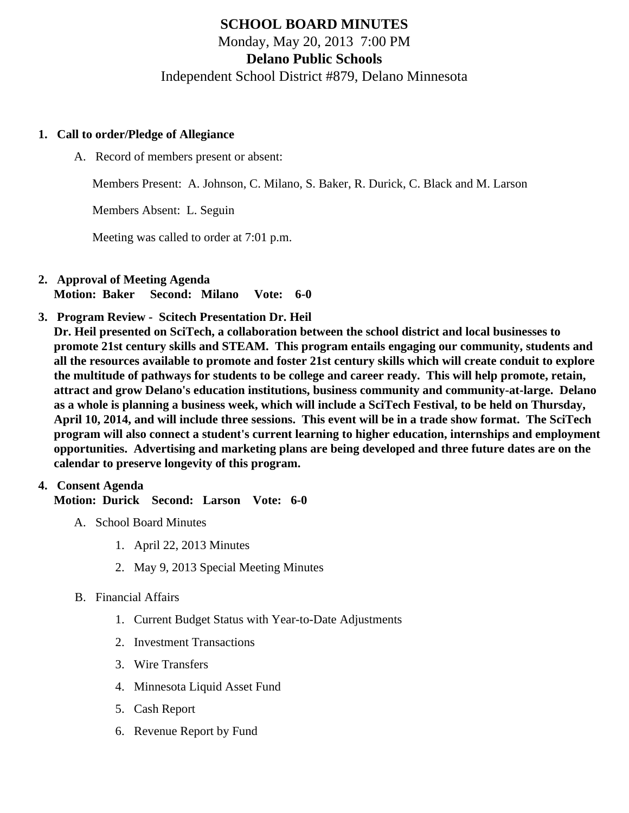# SCHOOL BOARD MINUTES Monday, May 20, 2013 7:00 PM Delano Public Schools Independent School District #879, Delano Minnesota

- 1. Call to order/Pledge of Allegiance
	- A. Record of members present or absent:

Members Present: A. Johnson, C. Milano, S. Baker, R. Durick, C. Black and M. Larson

Members Absent: L. Seguin

Meeting was called to order at 7:01 p.m.

- 2. Approval of Meeting Agenda Motion: Baker Second: Milano Vote: 6-0
- 3. Program Review Scitech PresentatiorDr. Heil

Dr. Heil presented on SciTech, a collaboration between the school district and local businesses to promote 21st century skills and STEAM. This program entails engaging our community, students and all the resources available to promote and foster 21st century skills which will create conduit to explore the multitude of pathways for students to be college and career ready. This will help promote, retain, attract and grow Delano's education institutions, business community and community-at-large. Delano as a whole is planning a business week, which will include a SciTech Festival, to be held on Thursday, April 10, 2014, and will include three sessions. This event will be in a trade show format. The SciTech program will also connect a student's current learning to higher education, internships and employment opportunities. Advertising and marketing plans are being developed and three future dates are on the calendar to preserve longevity of this program.

4. Consent Agenda

Motion: Durick Second: Larson Vote: 6-0

- A. School Board Minutes
	- 1. [April 22, 2013 Minute](/docs/district/Business_Office/4.22.13_Board_Minutes.pdf)s
	- 2. [May 9, 2013 Special Meeting Minut](/docs/district/Business_Office/Board_Minutes_5.9.13.pdf)es
- B. Financial Affairs
	- 1. [Current Budget Status with Year-to-Date Adjustm](/docs/district/Business_Office/Budget_Report_May_2013.pdf)ents
	- 2. [Investment Transactio](/docs/district/Business_Office/Investment_schedule_12-13.pdf  )ns
	- 3. [Wire Transfer](/docs/district/Business_Office/Wire_Transfer.pdf  )s
	- 4. [Minnesota Liquid Asset Fun](/docs/district/Business_Office/Liq_AFY13.pdf)d
	- 5. [Cash Repo](/docs/district/Business_Office/Cash_Report.pdf  )rt
	- 6. [Revenue Report by Fu](/docs/district/Business_Office/SCHOOL_BOARD_REPORTS_-_REVENUE_BY_FUND_TOTAL__(Date__6_2013).pdf)nd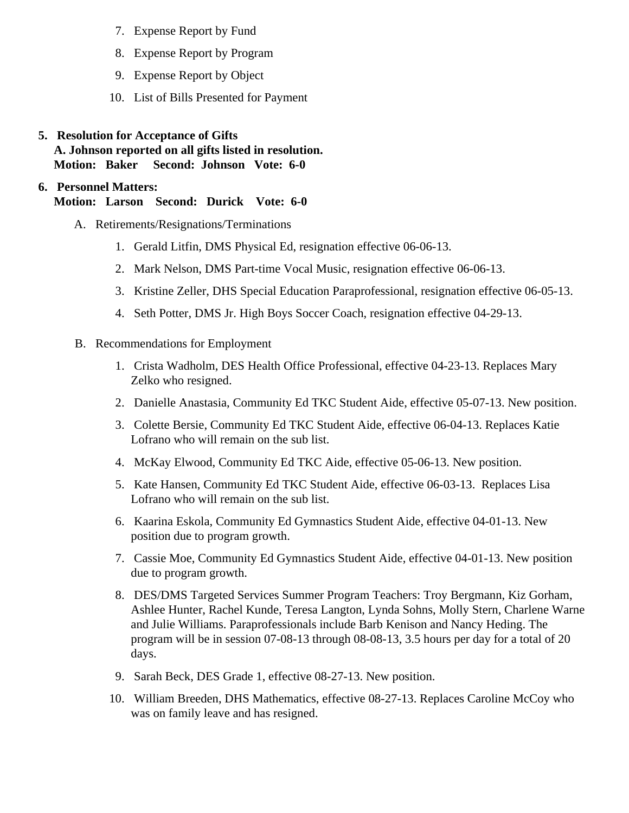- 7. [Expense Report by Fu](/docs/district/Business_Office/SCHOOL_BOARD_REPORTS_-_EXP_BY_FUND_TOTAL__(Date__6_2013).pdf)nd
- 8. [Expense Report by Progra](/docs/district/Business_Office/SCHOOL_BOARD_REPORTS_-_EXPENDITURES_BY_PROGRAM__(Date__6_2013).pdf)m
- 9. [Expense Report by Obje](/docs/district/Business_Office/SCHOOL_BOARD_REPORTS_-_EXPENDITURES_BY_OBJECT__(Date__6_2013).pdf)ct
- 10. [List of Bills Presented for Payme](/docs/district/Business_Office/Detail_of_Monthly_Bills_Paid.pdf)nt
- 5. [Resolution for Acceptance of Gifts](/docs/district/Business_Office/Resolution_for_Acceptance_of_Gifts_5.20.13.pdf) A. Johnson reported on all gifts listed in resolution. Motion: Baker Second: Johnson Vote: 6-0

# 6. Personnel Matters:

- Motion: Larson Second: Durick Vote: 6-0
	- A. Retirements/Resignations/Terminations
		- 1. Gerald Litfin, DMS Physical Ed, resignation effective 06-06-13.
		- 2. Mark Nelson, DMS Part-time Vocal Music, resignation effective 06-06-13.
		- 3. Kristine Zeller, DHS Special Education Paraprofessional, resignation effective 06-05-13.
		- 4. Seth Potter, DMS Jr. High Boys Soccer Coach, resignation effective 04-29-13.
	- B. Recommendations for Employment
		- 1. Crista Wadholm, DES Health Office Professional, effective 04-23-13. Replaces Mary Zelko who resigned.
		- 2. Danielle Anastasia, Community Ed TKC Student Aide, effective 05-07-13. New position.
		- 3. Colette Bersie, Community Ed TKC Student Aide, effective 06-04-13. Replaces Katie Lofrano who will remain on the sub list.
		- 4. McKay Elwood, Community Ed TKC Aide, effective 05-06-13. New position.
		- 5. Kate Hansen, Community Ed TKC Student Aide, effective 06-03-13. Replaces Lisa Lofrano who will remain on the sub list.
		- 6. Kaarina Eskola, Community Ed Gymnastics Student Aide, effective 04-01-13. New position due to program growth.
		- 7. Cassie Moe, Community Ed Gymnastics Student Aide, effective 04-01-13. New position due to program growth.
		- 8. DES/DMS Targeted Services Summer Program Teachers: Troy Bergmann, Kiz Gorham, Ashlee Hunter, Rachel Kunde, Teresa Langton, Lynda Sohns, Molly Stern, Charlene Warne and Julie Williams. Paraprofessionals include Barb Kenison and Nancy Heding. The program will be in session 07-08-13 through 08-08-13, 3.5 hours per day for a total of 20 days.
		- 9. Sarah Beck, DES Grade 1, effective 08-27-13. New position.
		- 10. William Breeden, DHS Mathematics, effective 08-27-13. Replaces Caroline McCoy who was on family leave and has resigned.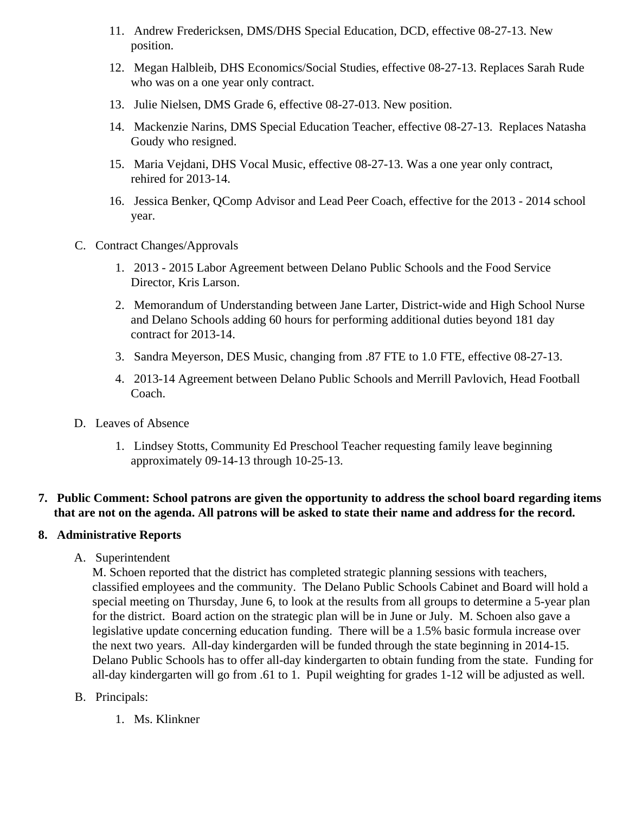- 11. Andrew Fredericksen, DMS/DHS Special Education, DCD, effective 08-27-13. New position.
- 12. Megan Halbleib, DHS Economics/Social Studies, effective 08-27-13. Replaces Sarah Rude who was on a one year only contract.
- 13. Julie Nielsen, DMS Grade 6, effective 08-27-013. New position.
- 14. Mackenzie Narins, DMS Special Education Teacher, effective 08-27-13. Replaces Natasha Goudy who resigned.
- 15. Maria Vejdani, DHS Vocal Music, effective 08-27-13. Was a one year only contract, rehired for 2013-14.
- 16. Jessica Benker, QComp Advisor and Lead Peer Coach, effective for the 2013 2014 school year.
- C. Contract Changes/Approvals
	- 1. 2013 2015 Labor Agreement between Delano Public Schools and the Food Service Director, Kris Larson.
	- 2. Memorandum of Understanding between Jane Larter, District-wide and High School Nurse and Delano Schools adding 60 hours for performing additional duties beyond 181 day contract for 2013-14.
	- 3. Sandra Meyerson, DES Music, changing from .87 FTE to 1.0 FTE, effective 08-27-13.
	- 4. 2013-14 Agreement between Delano Public Schools and Merrill Pavlovich, Head Football Coach.
- D. Leaves of Absence
	- 1. Lindsey Stotts, Community Ed Preschool Teacher requesting family leave beginning approximately 09-14-13 through 10-25-13.

#### **7. Public Comment: School patrons are given the opportunity to address the school board regarding items that are not on the agenda. All patrons will be asked to state their name and address for the record.**

#### **8. Administrative Reports**

A. Superintendent

M. Schoen reported that the district has completed strategic planning sessions with teachers, classified employees and the community. The Delano Public Schools Cabinet and Board will hold a special meeting on Thursday, June 6, to look at the results from all groups to determine a 5-year plan for the district. Board action on the strategic plan will be in June or July. M. Schoen also gave a legislative update concerning education funding. There will be a 1.5% basic formula increase over the next two years. All-day kindergarden will be funded through the state beginning in 2014-15. Delano Public Schools has to offer all-day kindergarten to obtain funding from the state. Funding for all-day kindergarten will go from .61 to 1. Pupil weighting for grades 1-12 will be adjusted as well.

- B. Principals:
	- 1. Ms. Klinkner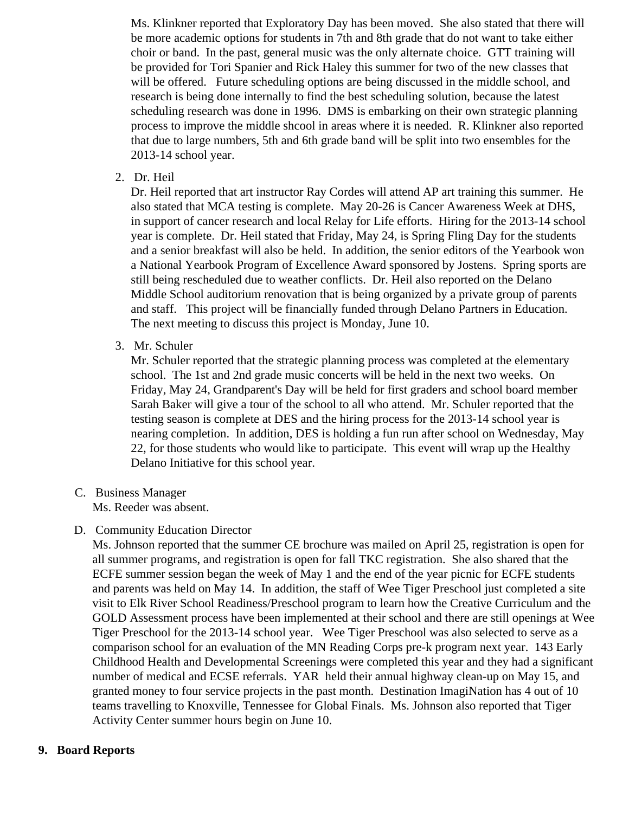Ms. Klinkner reported that Exploratory Day has been moved. She also stated that there will be more academic options for students in 7th and 8th grade that do not want to take either choir or band. In the past, general music was the only alternate choice. GTT training will be provided for Tori Spanier and Rick Haley this summer for two of the new classes that will be offered. Future scheduling options are being discussed in the middle school, and research is being done internally to find the best scheduling solution, because the latest scheduling research was done in 1996. DMS is embarking on their own strategic planning process to improve the middle shcool in areas where it is needed. R. Klinkner also reported that due to large numbers, 5th and 6th grade band will be split into two ensembles for the 2013-14 school year.

2. Dr. Heil

Dr. Heil reported that art instructor Ray Cordes will attend AP art training this summer. He also stated that MCA testing is complete. May 20-26 is Cancer Awareness Week at DHS, in support of cancer research and local Relay for Life efforts. Hiring for the 2013-14 school year is complete. Dr. Heil stated that Friday, May 24, is Spring Fling Day for the students and a senior breakfast will also be held. In addition, the senior editors of the Yearbook won a National Yearbook Program of Excellence Award sponsored by Jostens. Spring sports are still being rescheduled due to weather conflicts. Dr. Heil also reported on the Delano Middle School auditorium renovation that is being organized by a private group of parents and staff. This project will be financially funded through Delano Partners in Education. The next meeting to discuss this project is Monday, June 10.

3. Mr. Schuler

Mr. Schuler reported that the strategic planning process was completed at the elementary school. The 1st and 2nd grade music concerts will be held in the next two weeks. On Friday, May 24, Grandparent's Day will be held for first graders and school board member Sarah Baker will give a tour of the school to all who attend. Mr. Schuler reported that the testing season is complete at DES and the hiring process for the 2013-14 school year is nearing completion. In addition, DES is holding a fun run after school on Wednesday, May 22, for those students who would like to participate. This event will wrap up the Healthy Delano Initiative for this school year.

## C. Business Manager

Ms. Reeder was absent.

# D. [Community Education Direct](/docs/district/Business_Office/School_Board_report_2013_May.pdf)or

Ms. Johnson reported that the summer CE brochure was mailed on April 25, registration is open fo all summer programs, and registration is open for fall TKC registration. She also shared that the ECFE summer session began the week of May 1 and the end of the year picnic for ECFE students and parents was held on May 14. In addition, the staff of Wee Tiger Preschool just completed a sit visit to Elk River School Readiness/Preschool program to learn how the Creative Curriculum and the GOLD Assessment process have been implemented at their school and there are still openings at Tiger Preschool for the 2013-14 school year. Wee Tiger Preschool was also selected to serve as comparison school for an evaluation of the MN Reading Corps pre-k program next year. 143 Early Childhood Health and Developmental Screenings were completed this year and they had a signific number of medical and ECSE referrals. YAR held their annual highway clean-up on May 15, and granted money to four service projects in the past month. Destination ImagiNation has 4 out of 10 teams travelling to Knoxville, Tennessee for Global Finals. Ms. Johnson also reported that Tiger Activity Center summer hours begin on June 10.

9. Board Reports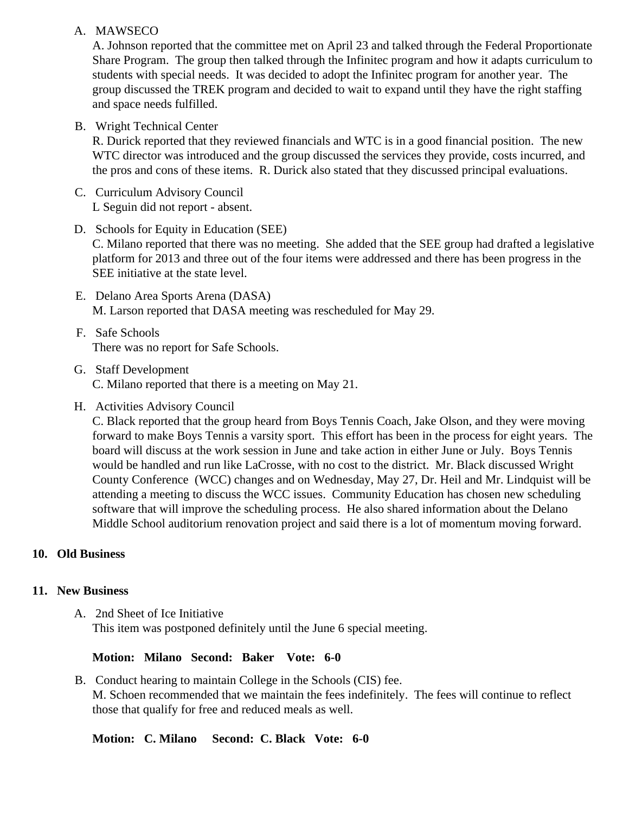#### A. MAWSECO

A. Johnson reported that the committee met on April 23 and talked through the Federal Proportionate Share Program. The group then talked through the Infinitec program and how it adapts curriculum to students with special needs. It was decided to adopt the Infinitec program for another year. The group discussed the TREK program and decided to wait to expand until they have the right staffing and space needs fulfilled.

B. Wright Technical Center

R. Durick reported that they reviewed financials and WTC is in a good financial position. The new WTC director was introduced and the group discussed the services they provide, costs incurred, and the pros and cons of these items. R. Durick also stated that they discussed principal evaluations.

- C. Curriculum Advisory Council L Seguin did not report - absent.
- D. Schools for Equity in Education (SEE) C. Milano reported that there was no meeting. She added that the SEE group had drafted a legislative platform for 2013 and three out of the four items were addressed and there has been progress in the SEE initiative at the state level.
- E. Delano Area Sports Arena (DASA) M. Larson reported that DASA meeting was rescheduled for May 29.
- F. Safe Schools There was no report for Safe Schools.
- G. Staff Development C. Milano reported that there is a meeting on May 21.
- H. Activities Advisory Council

C. Black reported that the group heard from Boys Tennis Coach, Jake Olson, and they were moving forward to make Boys Tennis a varsity sport. This effort has been in the process for eight years. The board will discuss at the work session in June and take action in either June or July. Boys Tennis would be handled and run like LaCrosse, with no cost to the district. Mr. Black discussed Wright County Conference (WCC) changes and on Wednesday, May 27, Dr. Heil and Mr. Lindquist will be attending a meeting to discuss the WCC issues. Community Education has chosen new scheduling software that will improve the scheduling process. He also shared information about the Delano Middle School auditorium renovation project and said there is a lot of momentum moving forward.

## **10. Old Business**

#### **11. New Business**

A. 2nd Sheet of Ice Initiative This item was postponed definitely until the June 6 special meeting.

#### **Motion: Milano Second: Baker Vote: 6-0**

B. Conduct hearing to maintain College in the Schools (CIS) fee. M. Schoen recommended that we maintain the fees indefinitely. The fees will continue to reflect those that qualify for free and reduced meals as well.

## **Motion: C. Milano Second: C. Black Vote: 6-0**